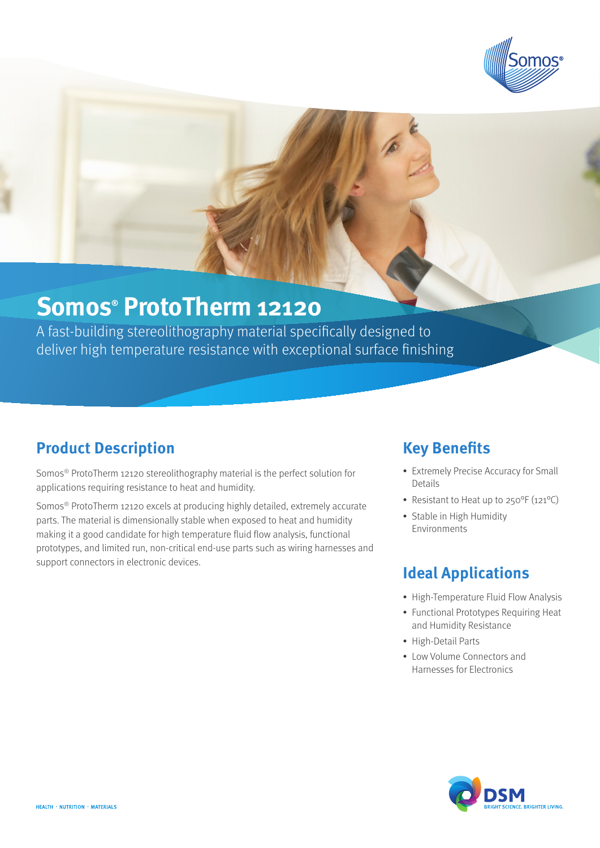

# **Somos® ProtoTherm 12120**

A fast-building stereolithography material specifically designed to deliver high temperature resistance with exceptional surface finishing

### **Product Description**

Somos® ProtoTherm 12120 stereolithography material is the perfect solution for applications requiring resistance to heat and humidity.

Somos® ProtoTherm 12120 excels at producing highly detailed, extremely accurate parts. The material is dimensionally stable when exposed to heat and humidity making it a good candidate for high temperature fluid flow analysis, functional prototypes, and limited run, non-critical end-use parts such as wiring harnesses and support connectors in electronic devices.

### **Key Benefits**

- Extremely Precise Accuracy for Small Details
- Resistant to Heat up to 250°F (121°C)
- Stable in High Humidity Environments

### **Ideal Applications**

- High-Temperature Fluid Flow Analysis
- Functional Prototypes Requiring Heat and Humidity Resistance
- High-Detail Parts
- • Low Volume Connectors and Harnesses for Electronics